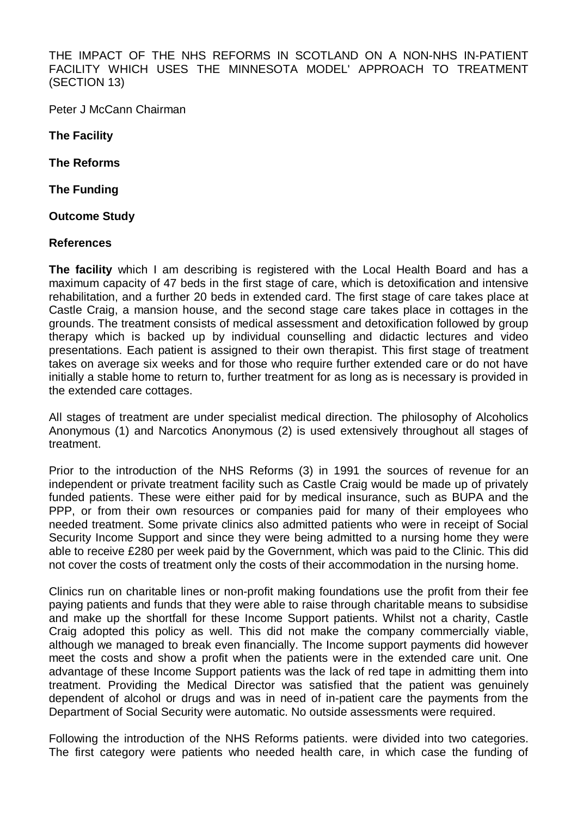THE IMPACT OF THE NHS REFORMS IN SCOTLAND ON A NON-NHS IN-PATIENT FACILITY WHICH USES THE MINNESOTA MODEL' APPROACH TO TREATMENT (SECTION 13)

Peter J McCann Chairman

**The Facility** 

**The Reforms** 

**The Funding** 

**Outcome Study** 

## **References**

**The facility** which I am describing is registered with the Local Health Board and has a maximum capacity of 47 beds in the first stage of care, which is detoxification and intensive rehabilitation, and a further 20 beds in extended card. The first stage of care takes place at Castle Craig, a mansion house, and the second stage care takes place in cottages in the grounds. The treatment consists of medical assessment and detoxification followed by group therapy which is backed up by individual counselling and didactic lectures and video presentations. Each patient is assigned to their own therapist. This first stage of treatment takes on average six weeks and for those who require further extended care or do not have initially a stable home to return to, further treatment for as long as is necessary is provided in the extended care cottages.

All stages of treatment are under specialist medical direction. The philosophy of Alcoholics Anonymous (1) and Narcotics Anonymous (2) is used extensively throughout all stages of treatment.

Prior to the introduction of the NHS Reforms (3) in 1991 the sources of revenue for an independent or private treatment facility such as Castle Craig would be made up of privately funded patients. These were either paid for by medical insurance, such as BUPA and the PPP, or from their own resources or companies paid for many of their employees who needed treatment. Some private clinics also admitted patients who were in receipt of Social Security Income Support and since they were being admitted to a nursing home they were able to receive £280 per week paid by the Government, which was paid to the Clinic. This did not cover the costs of treatment only the costs of their accommodation in the nursing home.

Clinics run on charitable lines or non-profit making foundations use the profit from their fee paying patients and funds that they were able to raise through charitable means to subsidise and make up the shortfall for these Income Support patients. Whilst not a charity, Castle Craig adopted this policy as well. This did not make the company commercially viable, although we managed to break even financially. The Income support payments did however meet the costs and show a profit when the patients were in the extended care unit. One advantage of these Income Support patients was the lack of red tape in admitting them into treatment. Providing the Medical Director was satisfied that the patient was genuinely dependent of alcohol or drugs and was in need of in-patient care the payments from the Department of Social Security were automatic. No outside assessments were required.

Following the introduction of the NHS Reforms patients. were divided into two categories. The first category were patients who needed health care, in which case the funding of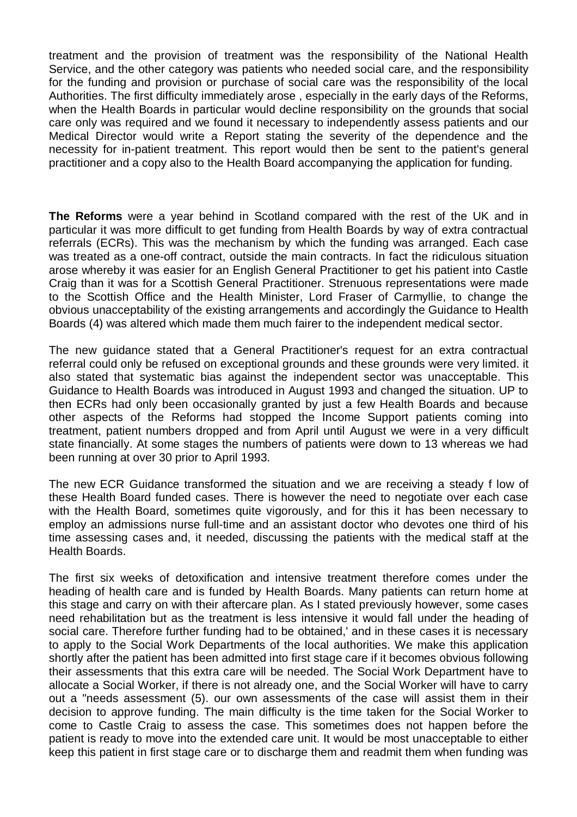treatment and the provision of treatment was the responsibility of the National Health Service, and the other category was patients who needed social care, and the responsibility for the funding and provision or purchase of social care was the responsibility of the local Authorities. The first difficulty immediately arose , especially in the early days of the Reforms, when the Health Boards in particular would decline responsibility on the grounds that social care only was required and we found it necessary to independently assess patients and our Medical Director would write a Report stating the severity of the dependence and the necessity for in-patient treatment. This report would then be sent to the patient's general practitioner and a copy also to the Health Board accompanying the application for funding.

**The Reforms** were a year behind in Scotland compared with the rest of the UK and in particular it was more difficult to get funding from Health Boards by way of extra contractual referrals (ECRs). This was the mechanism by which the funding was arranged. Each case was treated as a one-off contract, outside the main contracts. In fact the ridiculous situation arose whereby it was easier for an English General Practitioner to get his patient into Castle Craig than it was for a Scottish General Practitioner. Strenuous representations were made to the Scottish Office and the Health Minister, Lord Fraser of Carmyllie, to change the obvious unacceptability of the existing arrangements and accordingly the Guidance to Health Boards (4) was altered which made them much fairer to the independent medical sector.

The new guidance stated that a General Practitioner's request for an extra contractual referral could only be refused on exceptional grounds and these grounds were very limited. it also stated that systematic bias against the independent sector was unacceptable. This Guidance to Health Boards was introduced in August 1993 and changed the situation. UP to then ECRs had only been occasionally granted by just a few Health Boards and because other aspects of the Reforms had stopped the Income Support patients coming into treatment, patient numbers dropped and from April until August we were in a very difficult state financially. At some stages the numbers of patients were down to 13 whereas we had been running at over 30 prior to April 1993.

The new ECR Guidance transformed the situation and we are receiving a steady f low of these Health Board funded cases. There is however the need to negotiate over each case with the Health Board, sometimes quite vigorously, and for this it has been necessary to employ an admissions nurse full-time and an assistant doctor who devotes one third of his time assessing cases and, it needed, discussing the patients with the medical staff at the Health Boards.

The first six weeks of detoxification and intensive treatment therefore comes under the heading of health care and is funded by Health Boards. Many patients can return home at this stage and carry on with their aftercare plan. As I stated previously however, some cases need rehabilitation but as the treatment is less intensive it would fall under the heading of social care. Therefore further funding had to be obtained,' and in these cases it is necessary to apply to the Social Work Departments of the local authorities. We make this application shortly after the patient has been admitted into first stage care if it becomes obvious following their assessments that this extra care will be needed. The Social Work Department have to allocate a Social Worker, if there is not already one, and the Social Worker will have to carry out a "needs assessment (5). our own assessments of the case will assist them in their decision to approve funding. The main difficulty is the time taken for the Social Worker to come to Castle Craig to assess the case. This sometimes does not happen before the patient is ready to move into the extended care unit. It would be most unacceptable to either keep this patient in first stage care or to discharge them and readmit them when funding was